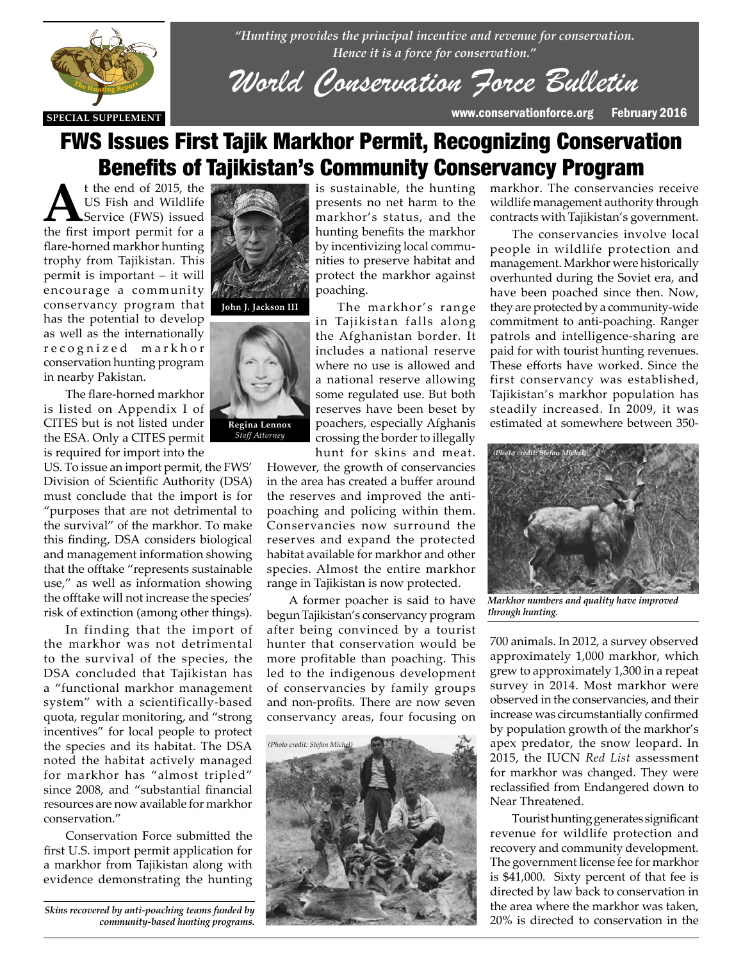

*"Hunting provides the principal incentive and revenue for conservation. Hence it is a force for conservation."*

*World Conservation Force Bulletin*

# FWS Issues First Tajik Markhor Permit, Recognizing Conservation Benefits of Tajikistan's Community Conservancy Program

**A**t the end of 2015, the US Fish and Wildlife Service (FWS) issued the first import permit for a flare-horned markhor hunting trophy from Tajikistan. This permit is important – it will encourage a community conservancy program that has the potential to develop as well as the internationally r e c o g n i z e d m a r k h o r conservation hunting program in nearby Pakistan.

**The flare-horned markhor**<br>**THE HUNTING REPORT**<br>**THE HUNTING REPORT** is listed on Appendix I of CITES but is not listed under the ESA. Only a CITES permit is required for import into the<br> **TIS** To issue an import parmit the

US. To issue an import permit, the FWS' Division of Scientific Authority (DSA) must conclude that the import is for "purposes that are not detrimental to the survival" of the markhor. To make this finding, DSA considers biological and management information showing that the offtake "represents sustainable use," as well as information showing the offtake will not increase the species' risk of extinction (among other things).

In finding that the import of the markhor was not detrimental to the survival of the species, the DSA concluded that Tajikistan has a "functional markhor management system" with a scientifically-based quota, regular monitoring, and "strong incentives" for local people to protect the species and its habitat. The DSA noted the habitat actively managed for markhor has "almost tripled" since 2008, and "substantial financial resources are now available for markhor conservation."

Conservation Force submitted the first U.S. import permit application for a markhor from Tajikistan along with evidence demonstrating the hunting

*Skins recovered by anti-poaching teams funded by community-based hunting programs.*





is sustainable, the hunting presents no net harm to the markhor's status, and the hunting benefits the markhor by incentivizing local communities to preserve habitat and protect the markhor against poaching.

The markhor's range in Tajikistan falls along the Afghanistan border. It includes a national reserve where no use is allowed and a national reserve allowing some regulated use. But both reserves have been beset by poachers, especially Afghanis crossing the border to illegally

hunt for skins and meat.

However, the growth of conservancies in the area has created a buffer around the reserves and improved the antipoaching and policing within them. Conservancies now surround the reserves and expand the protected habitat available for markhor and other species. Almost the entire markhor range in Tajikistan is now protected.

A former poacher is said to have begun Tajikistan's conservancy program after being convinced by a tourist hunter that conservation would be more profitable than poaching. This led to the indigenous development of conservancies by family groups and non-profits. There are now seven conservancy areas, four focusing on



markhor. The conservancies receive wildlife management authority through contracts with Tajikistan's government.

The conservancies involve local people in wildlife protection and management. Markhor were historically overhunted during the Soviet era, and have been poached since then. Now, they are protected by a community-wide commitment to anti-poaching. Ranger patrols and intelligence-sharing are paid for with tourist hunting revenues. These efforts have worked. Since the first conservancy was established, Tajikistan's markhor population has steadily increased. In 2009, it was estimated at somewhere between 350-



*Markhor numbers and quality have improved through hunting.*

700 animals. In 2012, a survey observed approximately 1,000 markhor, which grew to approximately 1,300 in a repeat survey in 2014. Most markhor were observed in the conservancies, and their increase was circumstantially confirmed by population growth of the markhor's apex predator, the snow leopard. In 2015, the IUCN *Red List* assessment for markhor was changed. They were reclassified from Endangered down to Near Threatened.

Tourist hunting generates significant revenue for wildlife protection and recovery and community development. The government license fee for markhor is \$41,000. Sixty percent of that fee is directed by law back to conservation in the area where the markhor was taken, 20% is directed to conservation in the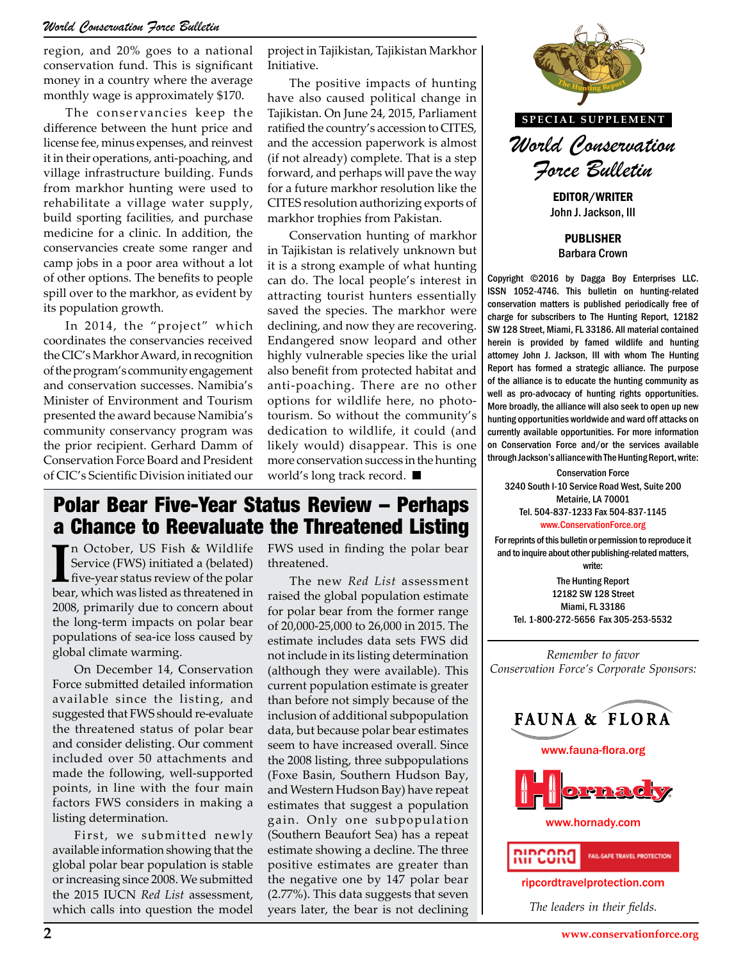#### *World Conservation Force Bulletin*

region, and 20% goes to a national conservation fund. This is significant money in a country where the average monthly wage is approximately \$170.

The conservancies keep the difference between the hunt price and license fee, minus expenses, and reinvest it in their operations, anti-poaching, and village infrastructure building. Funds from markhor hunting were used to rehabilitate a village water supply, build sporting facilities, and purchase medicine for a clinic. In addition, the conservancies create some ranger and camp jobs in a poor area without a lot of other options. The benefits to people spill over to the markhor, as evident by its population growth.

In 2014, the "project" which coordinates the conservancies received the CIC's Markhor Award, in recognition of the program's community engagement and conservation successes. Namibia's Minister of Environment and Tourism presented the award because Namibia's community conservancy program was the prior recipient. Gerhard Damm of Conservation Force Board and President of CIC's Scientific Division initiated our

project in Tajikistan, Tajikistan Markhor Initiative.

The positive impacts of hunting have also caused political change in Tajikistan. On June 24, 2015, Parliament ratified the country's accession to CITES, and the accession paperwork is almost (if not already) complete. That is a step forward, and perhaps will pave the way for a future markhor resolution like the CITES resolution authorizing exports of markhor trophies from Pakistan.

Conservation hunting of markhor in Tajikistan is relatively unknown but it is a strong example of what hunting can do. The local people's interest in attracting tourist hunters essentially saved the species. The markhor were declining, and now they are recovering. Endangered snow leopard and other highly vulnerable species like the urial also benefit from protected habitat and anti-poaching. There are no other options for wildlife here, no phototourism. So without the community's dedication to wildlife, it could (and likely would) disappear. This is one more conservation success in the hunting world's long track record.

### Polar Bear Five-Year Status Review – Perhaps a Chance to Reevaluate the Threatened Listing

In October, US Fish & Wildlife Service (FWS) initiated a (belated) five-year status review of the polar bear, which was listed as threatened in n October, US Fish & Wildlife Service (FWS) initiated a (belated) five-year status review of the polar 2008, primarily due to concern about the long-term impacts on polar bear populations of sea-ice loss caused by global climate warming.

On December 14, Conservation Force submitted detailed information available since the listing, and suggested that FWS should re-evaluate the threatened status of polar bear and consider delisting. Our comment included over 50 attachments and made the following, well-supported points, in line with the four main factors FWS considers in making a listing determination.

First, we submitted newly available information showing that the global polar bear population is stable or increasing since 2008. We submitted the 2015 IUCN *Red List* assessment, which calls into question the model FWS used in finding the polar bear threatened.

The new *Red List* assessment raised the global population estimate for polar bear from the former range of 20,000-25,000 to 26,000 in 2015. The estimate includes data sets FWS did not include in its listing determination (although they were available). This current population estimate is greater than before not simply because of the inclusion of additional subpopulation data, but because polar bear estimates seem to have increased overall. Since the 2008 listing, three subpopulations (Foxe Basin, Southern Hudson Bay, and Western Hudson Bay) have repeat estimates that suggest a population gain. Only one subpopulation (Southern Beaufort Sea) has a repeat estimate showing a decline. The three positive estimates are greater than the negative one by 147 polar bear (2.77%). This data suggests that seven years later, the bear is not declining



John J. Jackson, III

PUBLISHER Barbara Crown

Copyright ©2016 by Dagga Boy Enterprises LLC. ISSN 1052-4746. This bulletin on hunting-related conservation matters is published periodically free of charge for subscribers to The Hunting Report, 12182 SW 128 Street, Miami, FL 33186. All material contained herein is provided by famed wildlife and hunting attorney John J. Jackson, III with whom The Hunting Report has formed a strategic alliance. The purpose of the alliance is to educate the hunting community as well as pro-advocacy of hunting rights opportunities. More broadly, the alliance will also seek to open up new here, no photo-<br>hunting opportunities worldwide and ward off attacks on<br>hunting opportunities worldwide and ward off attacks on currently available opportunities. For more information on Conservation Force and/or the services available

**The hunting through Jackson's alliance with The Hunting Report, write:**<br>The Munting Report, write:<br>2010 Guita La Comic Dead West Culture 200 Conservation Force 3240 South I-10 Service Road West, Suite 200 Metairie, LA 70001 Tel. 504-837-1233 Fax 504-837-1145 www.ConservationForce.org

> For reprints of this bulletin or permission to reproduce it and to inquire about other publishing-related matters, write:

The Hunting Report 12182 SW 128 Street Miami, FL 33186 Tel. 1-800-272-5656 Fax 305-253-5532

*Remember to favor Conservation Force's Corporate Sponsors:*



www.hornady.com



ripcordtravelprotection.com

*The leaders in their fields.*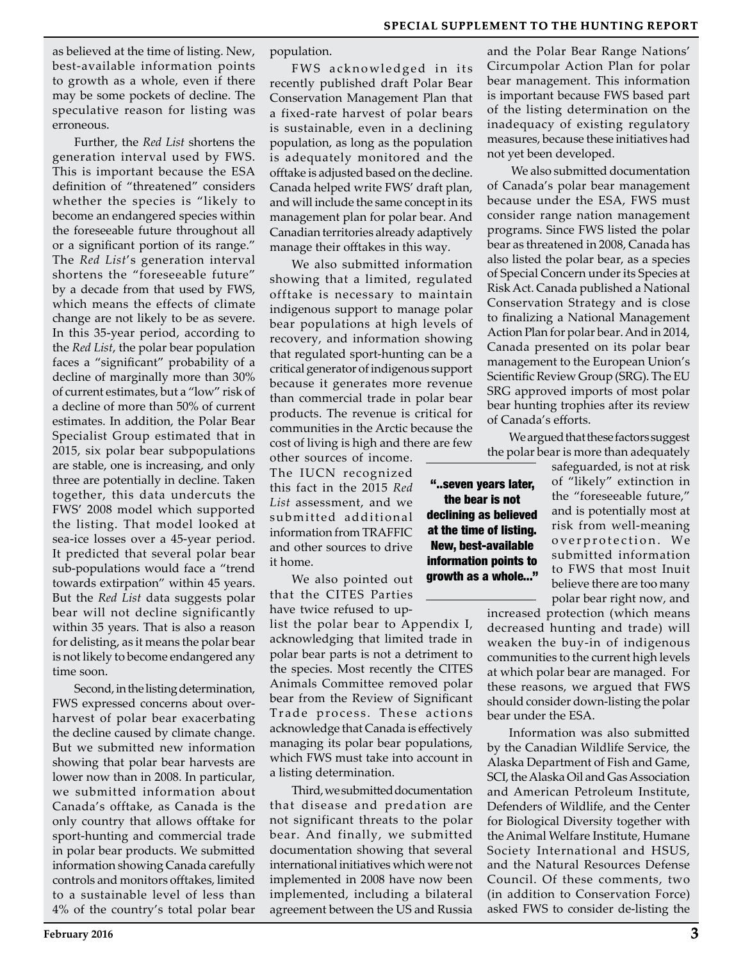as believed at the time of listing. New, best-available information points to growth as a whole, even if there may be some pockets of decline. The speculative reason for listing was erroneous.

Further, the *Red List* shortens the generation interval used by FWS. This is important because the ESA definition of "threatened" considers whether the species is "likely to become an endangered species within the foreseeable future throughout all or a significant portion of its range." The *Red List*'s generation interval shortens the "foreseeable future" by a decade from that used by FWS, which means the effects of climate change are not likely to be as severe. In this 35-year period, according to the *Red List*, the polar bear population faces a "significant" probability of a decline of marginally more than 30% of current estimates, but a "low" risk of a decline of more than 50% of current estimates. In addition, the Polar Bear Specialist Group estimated that in 2015, six polar bear subpopulations are stable, one is increasing, and only three are potentially in decline. Taken together, this data undercuts the FWS' 2008 model which supported the listing. That model looked at sea-ice losses over a 45-year period. It predicted that several polar bear sub-populations would face a "trend towards extirpation" within 45 years. But the *Red List* data suggests polar bear will not decline significantly within 35 years. That is also a reason for delisting, as it means the polar bear is not likely to become endangered any time soon.

Second, in the listing determination, FWS expressed concerns about overharvest of polar bear exacerbating the decline caused by climate change. But we submitted new information showing that polar bear harvests are lower now than in 2008. In particular, we submitted information about Canada's offtake, as Canada is the only country that allows offtake for sport-hunting and commercial trade in polar bear products. We submitted information showing Canada carefully controls and monitors offtakes, limited to a sustainable level of less than 4% of the country's total polar bear

population.

FWS acknowledged in its recently published draft Polar Bear Conservation Management Plan that a fixed-rate harvest of polar bears is sustainable, even in a declining population, as long as the population is adequately monitored and the offtake is adjusted based on the decline. Canada helped write FWS' draft plan, and will include the same concept in its management plan for polar bear. And Canadian territories already adaptively manage their offtakes in this way.

We also submitted information showing that a limited, regulated offtake is necessary to maintain indigenous support to manage polar bear populations at high levels of recovery, and information showing that regulated sport-hunting can be a critical generator of indigenous support because it generates more revenue than commercial trade in polar bear products. The revenue is critical for communities in the Arctic because the cost of living is high and there are few

other sources of income. The IUCN recognized this fact in the 2015 *Red List* assessment, and we submitted additional information from TRAFFIC and other sources to drive it home.

We also pointed out that the CITES Parties have twice refused to up-

list the polar bear to Appendix I, acknowledging that limited trade in polar bear parts is not a detriment to the species. Most recently the CITES Animals Committee removed polar bear from the Review of Significant Trade process. These actions acknowledge that Canada is effectively managing its polar bear populations, which FWS must take into account in a listing determination.

Third, we submitted documentation that disease and predation are not significant threats to the polar bear. And finally, we submitted documentation showing that several international initiatives which were not implemented in 2008 have now been implemented, including a bilateral agreement between the US and Russia

and the Polar Bear Range Nations' Circumpolar Action Plan for polar bear management. This information is important because FWS based part of the listing determination on the inadequacy of existing regulatory measures, because these initiatives had not yet been developed.

 We also submitted documentation of Canada's polar bear management because under the ESA, FWS must consider range nation management programs. Since FWS listed the polar bear as threatened in 2008, Canada has also listed the polar bear, as a species of Special Concern under its Species at Risk Act. Canada published a National Conservation Strategy and is close to finalizing a National Management Action Plan for polar bear. And in 2014, Canada presented on its polar bear management to the European Union's Scientific Review Group (SRG). The EU SRG approved imports of most polar bear hunting trophies after its review of Canada's efforts.

We argued that these factors suggest the polar bear is more than adequately

> safeguarded, is not at risk of "likely" extinction in the "foreseeable future," and is potentially most at risk from well-meaning overprotection. We submitted information to FWS that most Inuit believe there are too many polar bear right now, and

increased protection (which means decreased hunting and trade) will weaken the buy-in of indigenous communities to the current high levels at which polar bear are managed. For these reasons, we argued that FWS should consider down-listing the polar bear under the ESA.

Information was also submitted by the Canadian Wildlife Service, the Alaska Department of Fish and Game, SCI, the Alaska Oil and Gas Association and American Petroleum Institute, Defenders of Wildlife, and the Center for Biological Diversity together with the Animal Welfare Institute, Humane Society International and HSUS, and the Natural Resources Defense Council. Of these comments, two (in addition to Conservation Force) asked FWS to consider de-listing the

"..seven years later, the bear is not declining as believed at the time of listing. New, best-available information points to growth as a whole..."